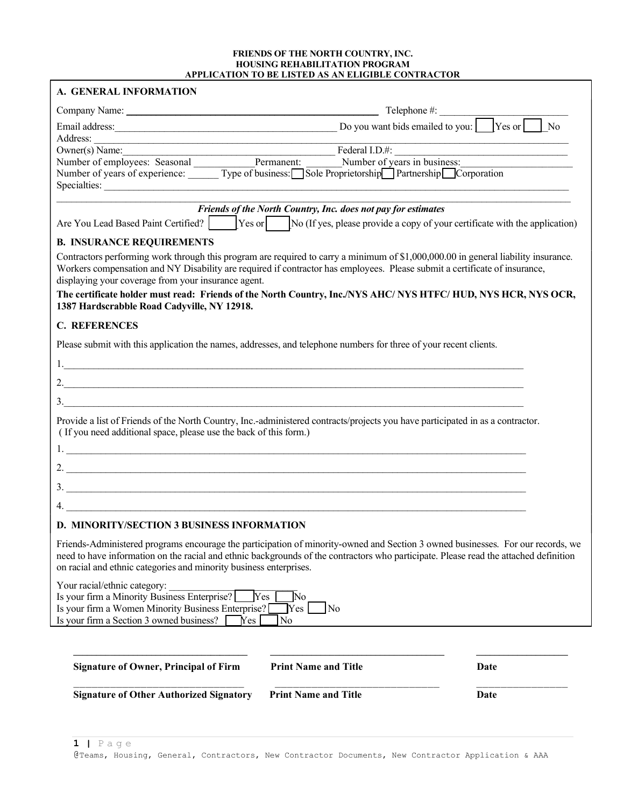#### FRIENDS OF THE NORTH COUNTRY, INC. HOUSING REHABILITATION PROGRAM APPLICATION TO BE LISTED AS AN ELIGIBLE CONTRACTOR

|                                                                                                                                                                                                                                                                                                                                                | Telephone #:                                                  |      |
|------------------------------------------------------------------------------------------------------------------------------------------------------------------------------------------------------------------------------------------------------------------------------------------------------------------------------------------------|---------------------------------------------------------------|------|
| Email address: $\Box$ Yes or $\Box$                                                                                                                                                                                                                                                                                                            |                                                               | No   |
|                                                                                                                                                                                                                                                                                                                                                |                                                               |      |
| Owner(s) Name:                                                                                                                                                                                                                                                                                                                                 | $\frac{1}{2}$ Federal I.D.#:                                  |      |
| Number of employees: Seasonal Permanent: Number of years in business:<br>Number of years of experience: Type of business: Sole Proprietorship Partnership Corporation                                                                                                                                                                          |                                                               |      |
| Specialties:                                                                                                                                                                                                                                                                                                                                   |                                                               |      |
|                                                                                                                                                                                                                                                                                                                                                | Friends of the North Country, Inc. does not pay for estimates |      |
| Are You Lead Based Paint Certified? $\begin{bmatrix} \text{Yes or} \\ \text{Yes or} \end{bmatrix}$ [No (If yes, please provide a copy of your certificate with the application)                                                                                                                                                                |                                                               |      |
| <b>B. INSURANCE REQUIREMENTS</b>                                                                                                                                                                                                                                                                                                               |                                                               |      |
| Contractors performing work through this program are required to carry a minimum of \$1,000,000.00 in general liability insurance.<br>Workers compensation and NY Disability are required if contractor has employees. Please submit a certificate of insurance,<br>displaying your coverage from your insurance agent.                        |                                                               |      |
| The certificate holder must read: Friends of the North Country, Inc./NYS AHC/NYS HTFC/HUD, NYS HCR, NYS OCR,<br>1387 Hardscrabble Road Cadyville, NY 12918.                                                                                                                                                                                    |                                                               |      |
| <b>C. REFERENCES</b>                                                                                                                                                                                                                                                                                                                           |                                                               |      |
| Please submit with this application the names, addresses, and telephone numbers for three of your recent clients.                                                                                                                                                                                                                              |                                                               |      |
|                                                                                                                                                                                                                                                                                                                                                |                                                               |      |
| 2. $\frac{1}{2}$ $\frac{1}{2}$ $\frac{1}{2}$ $\frac{1}{2}$ $\frac{1}{2}$ $\frac{1}{2}$ $\frac{1}{2}$ $\frac{1}{2}$ $\frac{1}{2}$ $\frac{1}{2}$ $\frac{1}{2}$ $\frac{1}{2}$ $\frac{1}{2}$ $\frac{1}{2}$ $\frac{1}{2}$ $\frac{1}{2}$ $\frac{1}{2}$ $\frac{1}{2}$ $\frac{1}{2}$ $\frac{1}{2}$ $\frac{1}{2}$ $\frac{1}{2}$                         |                                                               |      |
| $\overline{\mathbf{3}}$ .                                                                                                                                                                                                                                                                                                                      |                                                               |      |
| Provide a list of Friends of the North Country, Inc.-administered contracts/projects you have participated in as a contractor.<br>(If you need additional space, please use the back of this form.)                                                                                                                                            |                                                               |      |
|                                                                                                                                                                                                                                                                                                                                                |                                                               |      |
| 2. $\overline{\phantom{a}}$                                                                                                                                                                                                                                                                                                                    |                                                               |      |
| $\frac{3}{2}$                                                                                                                                                                                                                                                                                                                                  |                                                               |      |
|                                                                                                                                                                                                                                                                                                                                                |                                                               |      |
| <b>D. MINORITY/SECTION 3 BUSINESS INFORMATION</b>                                                                                                                                                                                                                                                                                              |                                                               |      |
| Friends-Administered programs encourage the participation of minority-owned and Section 3 owned businesses. For our records, we<br>need to have information on the racial and ethnic backgrounds of the contractors who participate. Please read the attached definition<br>on racial and ethnic categories and minority business enterprises. |                                                               |      |
| Your racial/ethnic category:<br>Is your firm a Minority Business Enterprise?<br>Is your firm a Women Minority Business Enterprise?<br>Is your firm a Section 3 owned business?<br>Yes                                                                                                                                                          | No.<br><b>Yes</b><br>$ {\rm Yes} $<br>$\sqrt{N_0}$<br>No      |      |
|                                                                                                                                                                                                                                                                                                                                                |                                                               |      |
| <b>Signature of Owner, Principal of Firm</b>                                                                                                                                                                                                                                                                                                   | <b>Print Name and Title</b>                                   | Date |
|                                                                                                                                                                                                                                                                                                                                                |                                                               |      |
| <b>Signature of Other Authorized Signatory</b>                                                                                                                                                                                                                                                                                                 | <b>Print Name and Title</b>                                   | Date |

 $1 \mid P \text{age}$ @Teams, Housing, General, Contractors, New Contractor Documents, New Contractor Application & AAA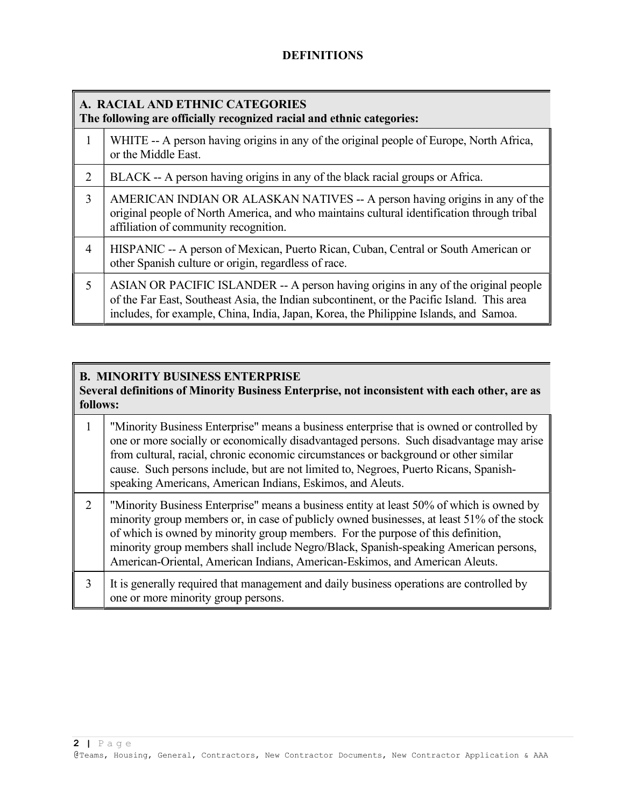### DEFINITIONS

### A. RACIAL AND ETHNIC CATEGORIES The following are officially recognized racial and ethnic categories:

|   | WHITE -- A person having origins in any of the original people of Europe, North Africa,<br>or the Middle East.                                                                                                                                                            |
|---|---------------------------------------------------------------------------------------------------------------------------------------------------------------------------------------------------------------------------------------------------------------------------|
| 2 | BLACK -- A person having origins in any of the black racial groups or Africa.                                                                                                                                                                                             |
| 3 | AMERICAN INDIAN OR ALASKAN NATIVES -- A person having origins in any of the<br>original people of North America, and who maintains cultural identification through tribal<br>affiliation of community recognition.                                                        |
| 4 | HISPANIC -- A person of Mexican, Puerto Rican, Cuban, Central or South American or<br>other Spanish culture or origin, regardless of race.                                                                                                                                |
| 5 | ASIAN OR PACIFIC ISLANDER -- A person having origins in any of the original people<br>of the Far East, Southeast Asia, the Indian subcontinent, or the Pacific Island. This area<br>includes, for example, China, India, Japan, Korea, the Philippine Islands, and Samoa. |

### B. MINORITY BUSINESS ENTERPRISE

Several definitions of Minority Business Enterprise, not inconsistent with each other, are as follows:

|   | "Minority Business Enterprise" means a business enterprise that is owned or controlled by<br>one or more socially or economically disadvantaged persons. Such disadvantage may arise<br>from cultural, racial, chronic economic circumstances or background or other similar<br>cause. Such persons include, but are not limited to, Negroes, Puerto Ricans, Spanish-<br>speaking Americans, American Indians, Eskimos, and Aleuts.               |
|---|---------------------------------------------------------------------------------------------------------------------------------------------------------------------------------------------------------------------------------------------------------------------------------------------------------------------------------------------------------------------------------------------------------------------------------------------------|
| 2 | "Minority Business Enterprise" means a business entity at least 50% of which is owned by<br>minority group members or, in case of publicly owned businesses, at least 51% of the stock<br>of which is owned by minority group members. For the purpose of this definition,<br>minority group members shall include Negro/Black, Spanish-speaking American persons,<br>American-Oriental, American Indians, American-Eskimos, and American Aleuts. |
|   | It is generally required that management and daily business operations are controlled by<br>one or more minority group persons.                                                                                                                                                                                                                                                                                                                   |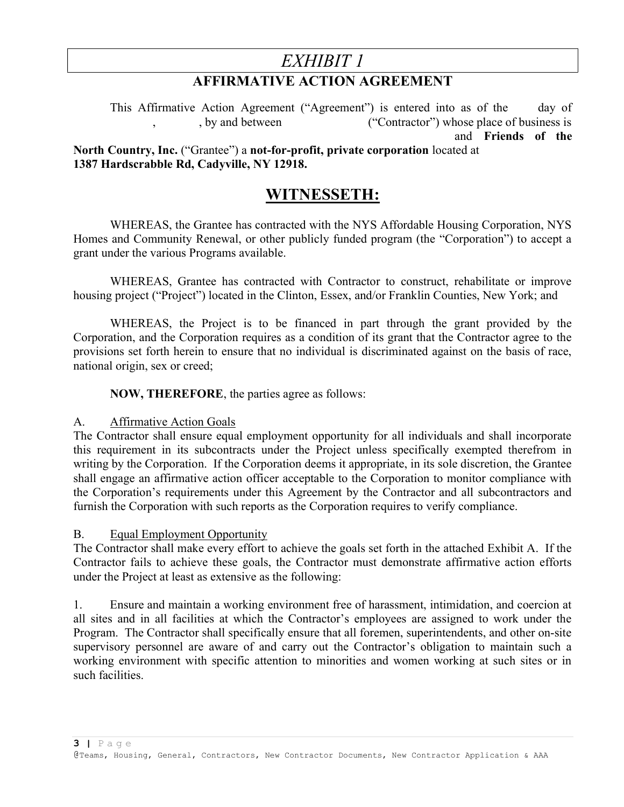# EXHIBIT 1

## AFFIRMATIVE ACTION AGREEMENT

This Affirmative Action Agreement ("Agreement") is entered into as of the day of , by and between ("Contractor") whose place of business is  $("Contractor")$  whose place of business is and Friends of the North Country, Inc. ("Grantee") a not-for-profit, private corporation located at 1387 Hardscrabble Rd, Cadyville, NY 12918.

## WITNESSETH:

 WHEREAS, the Grantee has contracted with the NYS Affordable Housing Corporation, NYS Homes and Community Renewal, or other publicly funded program (the "Corporation") to accept a grant under the various Programs available.

 WHEREAS, Grantee has contracted with Contractor to construct, rehabilitate or improve housing project ("Project") located in the Clinton, Essex, and/or Franklin Counties, New York; and

 WHEREAS, the Project is to be financed in part through the grant provided by the Corporation, and the Corporation requires as a condition of its grant that the Contractor agree to the provisions set forth herein to ensure that no individual is discriminated against on the basis of race, national origin, sex or creed;

NOW, THEREFORE, the parties agree as follows:

### A. Affirmative Action Goals

The Contractor shall ensure equal employment opportunity for all individuals and shall incorporate this requirement in its subcontracts under the Project unless specifically exempted therefrom in writing by the Corporation. If the Corporation deems it appropriate, in its sole discretion, the Grantee shall engage an affirmative action officer acceptable to the Corporation to monitor compliance with the Corporation's requirements under this Agreement by the Contractor and all subcontractors and furnish the Corporation with such reports as the Corporation requires to verify compliance.

### B. Equal Employment Opportunity

The Contractor shall make every effort to achieve the goals set forth in the attached Exhibit A. If the Contractor fails to achieve these goals, the Contractor must demonstrate affirmative action efforts under the Project at least as extensive as the following:

1. Ensure and maintain a working environment free of harassment, intimidation, and coercion at all sites and in all facilities at which the Contractor's employees are assigned to work under the Program. The Contractor shall specifically ensure that all foremen, superintendents, and other on-site supervisory personnel are aware of and carry out the Contractor's obligation to maintain such a working environment with specific attention to minorities and women working at such sites or in such facilities.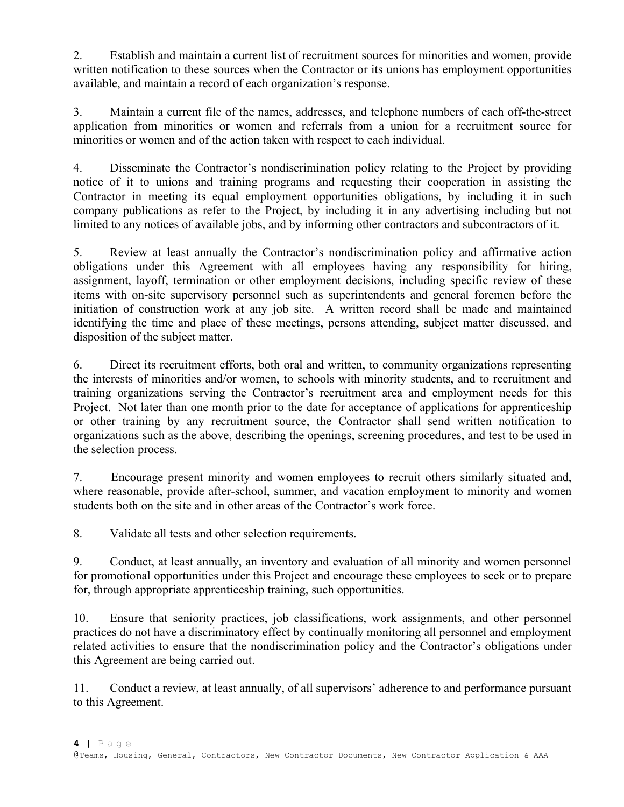2. Establish and maintain a current list of recruitment sources for minorities and women, provide written notification to these sources when the Contractor or its unions has employment opportunities available, and maintain a record of each organization's response.

3. Maintain a current file of the names, addresses, and telephone numbers of each off-the-street application from minorities or women and referrals from a union for a recruitment source for minorities or women and of the action taken with respect to each individual.

4. Disseminate the Contractor's nondiscrimination policy relating to the Project by providing notice of it to unions and training programs and requesting their cooperation in assisting the Contractor in meeting its equal employment opportunities obligations, by including it in such company publications as refer to the Project, by including it in any advertising including but not limited to any notices of available jobs, and by informing other contractors and subcontractors of it.

5. Review at least annually the Contractor's nondiscrimination policy and affirmative action obligations under this Agreement with all employees having any responsibility for hiring, assignment, layoff, termination or other employment decisions, including specific review of these items with on-site supervisory personnel such as superintendents and general foremen before the initiation of construction work at any job site. A written record shall be made and maintained identifying the time and place of these meetings, persons attending, subject matter discussed, and disposition of the subject matter.

6. Direct its recruitment efforts, both oral and written, to community organizations representing the interests of minorities and/or women, to schools with minority students, and to recruitment and training organizations serving the Contractor's recruitment area and employment needs for this Project. Not later than one month prior to the date for acceptance of applications for apprenticeship or other training by any recruitment source, the Contractor shall send written notification to organizations such as the above, describing the openings, screening procedures, and test to be used in the selection process.

7. Encourage present minority and women employees to recruit others similarly situated and, where reasonable, provide after-school, summer, and vacation employment to minority and women students both on the site and in other areas of the Contractor's work force.

8. Validate all tests and other selection requirements.

9. Conduct, at least annually, an inventory and evaluation of all minority and women personnel for promotional opportunities under this Project and encourage these employees to seek or to prepare for, through appropriate apprenticeship training, such opportunities.

10. Ensure that seniority practices, job classifications, work assignments, and other personnel practices do not have a discriminatory effect by continually monitoring all personnel and employment related activities to ensure that the nondiscrimination policy and the Contractor's obligations under this Agreement are being carried out.

11. Conduct a review, at least annually, of all supervisors' adherence to and performance pursuant to this Agreement.

 $4$  | Page

@Teams, Housing, General, Contractors, New Contractor Documents, New Contractor Application & AAA